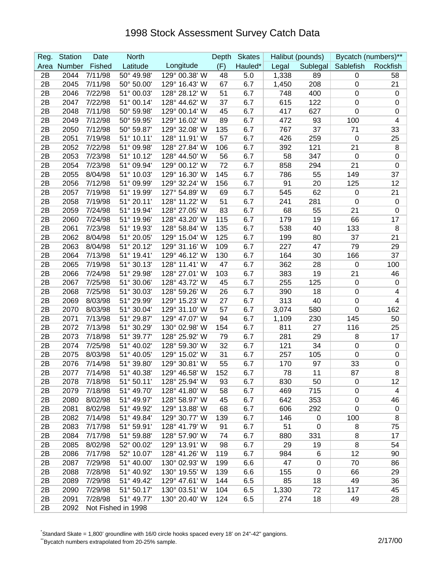## 1998 Stock Assessment Survey Catch Data

| Reg. | <b>Station</b> | Date    | <b>North</b>       |               | Depth | <b>Skates</b> |       | Halibut (pounds) |                  | Bycatch (numbers)** |
|------|----------------|---------|--------------------|---------------|-------|---------------|-------|------------------|------------------|---------------------|
| Area | Number         | Fished  | Latitude           | Longitude     | (F)   | Hauled*       | Legal | Sublegal         | Sablefish        | Rockfish            |
| 2B   | 2044           | 7/11/98 | 50° 49.98'         | 129° 00.38' W | 48    | 5.0           | 1,338 | 89               | $\pmb{0}$        | 58                  |
| 2B   | 2045           | 7/11/98 | 50° 50.00'         | 129° 16.43' W | 67    | 6.7           | 1,450 | 208              | $\boldsymbol{0}$ | 21                  |
| 2B   | 2046           | 7/22/98 | 51° 00.03'         | 128° 28.12' W | 51    | 6.7           | 748   | 400              | 0                | $\mathbf 0$         |
| 2B   | 2047           | 7/22/98 | 51° 00.14'         | 128° 44.62' W | 37    | 6.7           | 615   | 122              | 0                | 0                   |
| 2B   | 2048           | 7/11/98 | 50° 59.98'         | 129° 00.14' W | 45    | 6.7           | 417   | 627              | $\pmb{0}$        | $\boldsymbol{0}$    |
| 2B   | 2049           | 7/12/98 | 50° 59.95'         | 129° 16.02' W | 89    | 6.7           | 472   | 93               | 100              | 4                   |
| 2B   | 2050           | 7/12/98 | 50° 59.87'         | 129° 32.08' W | 135   | 6.7           | 767   | 37               | 71               | 33                  |
| 2B   | 2051           | 7/19/98 | 51° 10.11'         | 128° 11.91' W | 57    | 6.7           | 426   | 259              | $\mathbf 0$      | 25                  |
| 2B   | 2052           | 7/22/98 | 51° 09.98'         | 128° 27.84' W | 106   | 6.7           | 392   | 121              | 21               | 8                   |
| 2B   | 2053           | 7/23/98 | 51° 10.12'         | 128° 44.50' W | 56    | 6.7           | 58    | 347              | $\mathbf 0$      | 0                   |
| 2B   | 2054           | 7/23/98 | 51° 09.94'         | 129° 00.12' W | 72    | 6.7           | 858   | 294              | 21               | 0                   |
| 2B   | 2055           | 8/04/98 | 51° 10.03'         | 129° 16.30' W | 145   | 6.7           | 786   | 55               | 149              | 37                  |
| 2B   | 2056           | 7/12/98 | 51° 09.99'         | 129° 32.24' W | 156   | 6.7           | 91    | 20               | 125              | 12                  |
| 2B   | 2057           | 7/19/98 | 51° 19.99'         | 127° 54.89' W | 69    | 6.7           | 545   | 62               | 0                | 21                  |
| 2B   | 2058           | 7/19/98 | 51° 20.11'         | 128° 11.22' W | 51    | 6.7           | 241   | 281              | 0                | $\mathbf 0$         |
| 2B   | 2059           | 7/24/98 | 51° 19.94'         | 128° 27.05' W | 83    | 6.7           | 68    | 55               | 21               | 0                   |
| 2B   | 2060           | 7/24/98 | 51° 19.96'         | 128° 43.20' W | 115   | 6.7           | 179   | 19               | 66               | 17                  |
| 2B   | 2061           | 7/23/98 | 51° 19.93'         | 128° 58.84' W | 135   | 6.7           | 538   | 40               | 133              | 8                   |
| 2B   | 2062           | 8/04/98 | 51° 20.05'         | 129° 15.04' W | 125   | 6.7           | 199   | 80               | 37               | 21                  |
| 2B   | 2063           | 8/04/98 | 51° 20.12'         | 129° 31.16' W | 109   | 6.7           | 227   | 47               | 79               | 29                  |
| 2B   | 2064           | 7/13/98 | 51° 19.41'         | 129° 46.12' W | 130   | 6.7           | 164   | 30               | 166              | 37                  |
| 2B   | 2065           | 7/19/98 | 51° 30.13'         | 128° 11.41' W | 47    | 6.7           | 362   | 28               | $\mathbf 0$      | 100                 |
| 2B   | 2066           | 7/24/98 | 51° 29.98'         | 128° 27.01' W | 103   | 6.7           | 383   | 19               | 21               | 46                  |
| 2B   | 2067           | 7/25/98 | 51° 30.06'         | 128° 43.72' W | 45    | 6.7           | 255   | 125              | $\pmb{0}$        | $\pmb{0}$           |
| 2B   | 2068           | 7/25/98 | 51° 30.03'         | 128° 59.26' W | 26    | 6.7           | 390   | 18               | $\mathbf 0$      | 4                   |
| 2B   | 2069           | 8/03/98 | 51° 29.99'         | 129° 15.23' W | 27    | 6.7           | 313   | 40               | $\boldsymbol{0}$ | 4                   |
| 2B   | 2070           | 8/03/98 | 51° 30.04'         | 129° 31.10' W | 57    | 6.7           | 3,074 | 580              | $\boldsymbol{0}$ | 162                 |
| 2B   | 2071           | 7/13/98 | 51° 29.87'         | 129° 47.07' W | 94    | 6.7           | 1,109 | 230              | 145              | 50                  |
| 2B   | 2072           | 7/13/98 | 51° 30.29'         | 130° 02.98' W | 154   | 6.7           | 811   | 27               | 116              | 25                  |
| 2B   | 2073           | 7/18/98 | 51° 39.77'         | 128° 25.92' W | 79    | 6.7           | 281   | 29               | 8                | 17                  |
| 2B   | 2074           | 7/25/98 | 51° 40.02'         | 128° 59.30' W | 32    | 6.7           | 121   | 34               | $\boldsymbol{0}$ | 0                   |
| 2B   | 2075           | 8/03/98 | 51° 40.05'         | 129° 15.02' W | 31    | 6.7           | 257   | 105              | $\boldsymbol{0}$ | 0                   |
| 2B   | 2076           | 7/14/98 | 51° 39.80'         | 129° 30.81' W | 55    | 6.7           | 170   | 97               | 33               | $\boldsymbol{0}$    |
| 2B   | 2077           | 7/14/98 | 51° 40.38'         | 129° 46.58' W | 152   | 6.7           | 78    | 11               | 87               | 8                   |
| 2B   | 2078           | 7/18/98 | 51° 50.11'         | 128° 25.94' W | 93    | 6.7           | 830   | 50               | 0                | 12                  |
| 2B   | 2079           | 7/18/98 | 51° 49.70'         | 128° 41.80' W | 58    | 6.7           | 469   | 715              | $\mathbf 0$      | 4                   |
| 2B   | 2080           | 8/02/98 | 51° 49.97'         | 128° 58.97' W | 45    | 6.7           | 642   | 353              | $\mathbf 0$      | 46                  |
| 2B   | 2081           | 8/02/98 | 51° 49.92'         | 129° 13.88' W | 68    | 6.7           | 606   | 292              | $\pmb{0}$        | $\boldsymbol{0}$    |
| 2B   | 2082           | 7/14/98 | 51° 49.84'         | 129° 30.77' W | 139   | 6.7           | 146   | $\pmb{0}$        | 100              | 8                   |
| 2B   | 2083           | 7/17/98 | 51° 59.91'         | 128° 41.79' W | 91    | 6.7           | 51    | $\pmb{0}$        | 8                | 75                  |
| 2B   | 2084           | 7/17/98 | 51° 59.88'         | 128° 57.90' W | 74    | 6.7           | 880   | 331              | 8                | 17                  |
| 2B   | 2085           | 8/02/98 | 52° 00.02'         | 129° 13.91' W | 98    | 6.7           | 29    | 19               | 8                | 54                  |
| 2B   | 2086           | 7/17/98 | 52° 10.07'         | 128° 41.26' W | 119   | 6.7           | 984   | 6                | 12               | 90                  |
| 2B   | 2087           | 7/29/98 | 51° 40.00'         | 130° 02.93' W | 199   | 6.6           | 47    | 0                | 70               | 86                  |
| 2B   | 2088           | 7/28/98 | 51° 40.92'         | 130° 19.55' W | 139   | 6.6           | 155   | 0                | 66               | 29                  |
| 2B   | 2089           | 7/29/98 | 51° 49.42'         | 129° 47.61' W | 144   | 6.5           | 85    | 18               | 49               | 36                  |
| 2B   | 2090           | 7/29/98 | 51° 50.17'         | 130° 03.51' W | 104   | 6.5           | 1,330 | 72               | 117              | 45                  |
| 2B   | 2091           | 7/28/98 | 51° 49.77'         | 130° 20.40' W | 124   | 6.5           | 274   | 18               | 49               | 28                  |
| 2B   | 2092           |         | Not Fished in 1998 |               |       |               |       |                  |                  |                     |

\* Standard Skate = 1,800' groundline with 16/0 circle hooks spaced every 18' on 24"-42" gangions.

\*Bycatch numbers extrapolated from 20-25% sample. 2/17/00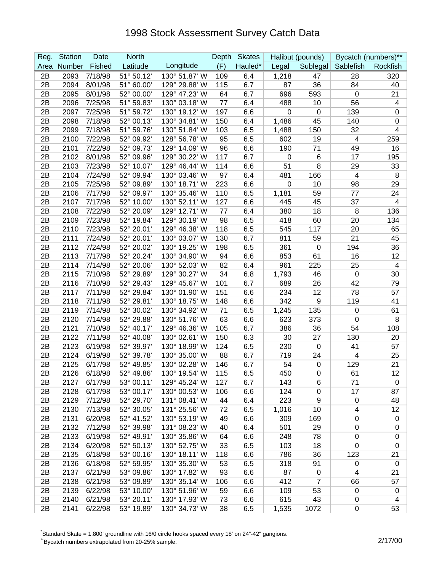## 1998 Stock Assessment Survey Catch Data

| Reg. | <b>Station</b> | Date    | <b>North</b> |               | Depth | <b>Skates</b> |             | Halibut (pounds) |                          | Bycatch (numbers)** |
|------|----------------|---------|--------------|---------------|-------|---------------|-------------|------------------|--------------------------|---------------------|
| Area | Number         | Fished  | Latitude     | Longitude     | (F)   | Hauled*       | Legal       | Sublegal         | Sablefish                | Rockfish            |
| 2B   | 2093           | 7/18/98 | 51° 50.12'   | 130° 51.87' W | 109   | 6.4           | 1,218       | 47               | 28                       | 320                 |
| 2B   | 2094           | 8/01/98 | 51° 60.00'   | 129° 29.88' W | 115   | 6.7           | 87          | 36               | 84                       | 40                  |
| 2B   | 2095           | 8/01/98 | 52° 00.00'   | 129° 47.23' W | 64    | 6.7           | 696         | 593              | 0                        | 21                  |
| 2B   | 2096           | 7/25/98 | 51° 59.83'   | 130° 03.18' W | 77    | 6.4           | 488         | 10               | 56                       | 4                   |
| 2B   | 2097           | 7/25/98 | 51° 59.72'   | 130° 19.12' W | 197   | 6.6           | $\mathbf 0$ | $\mathbf 0$      | 139                      | 0                   |
| 2B   | 2098           | 7/18/98 | 52° 00.13'   | 130° 34.81' W | 150   | 6.4           | 1,486       | 45               | 140                      | 0                   |
| 2B   | 2099           | 7/18/98 | 51° 59.76'   | 130° 51.84' W | 103   | 6.5           | 1,488       | 150              | 32                       | 4                   |
| 2B   | 2100           | 7/22/98 | 52° 09.92'   | 128° 56.78' W | 95    | 6.5           | 602         | 19               | 4                        | 259                 |
| 2B   | 2101           | 7/22/98 | 52° 09.73'   | 129° 14.09' W | 96    | 6.6           | 190         | 71               | 49                       | 16                  |
| 2B   | 2102           | 8/01/98 | 52° 09.96'   | 129° 30.22' W | 117   | 6.7           | 0           | $6\phantom{1}6$  | 17                       | 195                 |
| 2B   | 2103           | 7/23/98 | 52° 10.07'   | 129° 46.44' W | 114   | 6.6           | 51          | 8                | 29                       | 33                  |
| 2B   | 2104           | 7/24/98 | 52° 09.94'   | 130° 03.46' W | 97    | 6.4           | 481         | 166              | $\overline{\mathbf{4}}$  | 8                   |
| 2B   | 2105           | 7/25/98 | 52° 09.89'   | 130° 18.71' W | 223   | 6.6           | 0           | 10               | 98                       | 29                  |
| 2B   | 2106           | 7/17/98 | 52° 09.97'   | 130° 35.46' W | 110   | 6.5           | 1,181       | 59               | 77                       | 24                  |
| 2B   | 2107           | 7/17/98 | 52° 10.00'   | 130° 52.11' W | 127   | 6.6           | 445         | 45               | 37                       | 4                   |
| 2B   | 2108           | 7/22/98 | 52° 20.09'   | 129° 12.71' W | 77    | 6.4           | 380         | 18               | 8                        | 136                 |
| 2B   | 2109           | 7/23/98 | 52° 19.84'   | 129° 30.19' W | 98    | 6.5           | 418         | 60               | 20                       | 134                 |
| 2B   | 2110           | 7/23/98 | 52° 20.01'   | 129° 46.38' W | 118   | 6.5           | 545         | 117              | 20                       | 65                  |
| 2B   | 2111           | 7/24/98 | 52° 20.01'   | 130° 03.07' W | 130   | 6.7           | 811         | 59               | 21                       | 45                  |
| 2B   | 2112           | 7/24/98 | 52° 20.02'   | 130° 19.25' W | 198   | 6.5           | 361         | $\mathbf 0$      | 194                      | 36                  |
| 2B   | 2113           | 7/17/98 | 52° 20.24'   | 130° 34.90' W | 94    | 6.6           | 853         | 61               | 16                       | 12                  |
| 2B   | 2114           | 7/14/98 | 52° 20.06'   | 130° 52.03' W | 82    | 6.4           | 961         | 225              | 25                       | 4                   |
| 2B   | 2115           | 7/10/98 | 52° 29.89'   | 129° 30.27' W | 34    | 6.8           | 1,793       | 46               | $\mathbf 0$              | 30                  |
| 2B   | 2116           | 7/10/98 | 52° 29.43'   | 129° 45.67' W | 101   | 6.7           | 689         | 26               | 42                       | 79                  |
| 2B   | 2117           | 7/11/98 | 52° 29.84'   | 130° 01.90' W | 151   | 6.6           | 234         | 12               | 78                       | 57                  |
| 2B   | 2118           | 7/11/98 | 52° 29.81'   | 130° 18.75' W | 148   | 6.6           | 342         | $\boldsymbol{9}$ | 119                      | 41                  |
| 2B   | 2119           | 7/14/98 | 52° 30.02'   | 130° 34.92' W | 71    | 6.5           | 1,245       | 135              | 0                        | 61                  |
| 2B   | 2120           | 7/14/98 | 52° 29.88'   | 130° 51.76' W | 63    | 6.6           | 623         | 373              | $\mathbf 0$              | 8                   |
| 2B   | 2121           | 7/10/98 | 52° 40.17'   | 129° 46.36' W | 105   | 6.7           | 386         | 36               | 54                       | 108                 |
| 2B   | 2122           | 7/11/98 | 52° 40.08'   | 130° 02.61' W | 150   | 6.3           | 30          | 27               | 130                      | 20                  |
| 2B   | 2123           | 6/19/98 | 52° 39.97'   | 130° 18.99' W | 124   | 6.5           | 230         | $\boldsymbol{0}$ | 41                       | 57                  |
| 2B   | 2124           | 6/19/98 | 52° 39.78'   | 130° 35.00' W | 88    | 6.7           | 719         | 24               | 4                        | 25                  |
| 2B   | 2125           | 6/17/98 | 52° 49.85'   | 130° 02.28' W | 146   | 6.7           | 54          | $\boldsymbol{0}$ | 129                      | 21                  |
| 2B   | 2126           | 6/18/98 | 52° 49.86'   | 130° 19.54' W | 115   | 6.5           | 450         | $\mathbf 0$      | 61                       | 12                  |
| 2B   | 2127           | 6/17/98 | 53° 00.11'   | 129° 45.24' W | 127   | 6.7           | 143         | 6                | 71                       | 0                   |
| 2B   | 2128           | 6/17/98 | 53° 00.17'   | 130° 00.53' W | 106   | 6.6           | 124         | 0                | 17                       | 87                  |
| 2B   | 2129           | 7/12/98 | 52° 29.70'   | 131° 08.41' W | 44    | 6.4           | 223         | 9                | $\mathbf 0$              | 48                  |
| 2B   | 2130           | 7/13/98 | 52° 30.05'   | 131° 25.56' W | 72    | 6.5           | 1,016       | 10               | $\overline{\mathcal{A}}$ | 12                  |
| 2B   | 2131           | 6/20/98 | 52° 41.52'   | 130° 53.19' W | 49    | 6.6           | 309         | 169              | $\mathbf 0$              | $\boldsymbol{0}$    |
| 2B   | 2132           | 7/12/98 | 52° 39.98'   | 131° 08.23' W | 40    | 6.4           | 501         | 29               | 0                        | $\pmb{0}$           |
| 2B   | 2133           | 6/19/98 | 52° 49.91'   | 130° 35.86' W | 64    | 6.6           | 248         | 78               | $\pmb{0}$                | $\pmb{0}$           |
| 2B   | 2134           | 6/20/98 | 52° 50.13'   | 130° 52.75' W | 33    | 6.5           | 103         | 18               | $\mathbf 0$              | 0                   |
| 2B   | 2135           | 6/18/98 | 53° 00.16'   | 130° 18.11' W | 118   | 6.6           | 786         | 36               | 123                      | 21                  |
| 2B   | 2136           | 6/18/98 | 52° 59.95'   | 130° 35.30' W | 53    | 6.5           | 318         | 91               | 0                        | 0                   |
| 2B   | 2137           | 6/21/98 | 53° 09.86'   | 130° 17.82' W | 93    | 6.6           | 87          | 0                | 4                        | 21                  |
| 2B   | 2138           | 6/21/98 | 53° 09.89'   | 130° 35.14' W | 106   | 6.6           | 412         | $\overline{7}$   | 66                       | 57                  |
| 2B   | 2139           | 6/22/98 | 53° 10.00'   | 130° 51.96' W | 59    | 6.6           | 109         | 53               | $\mathbf 0$              | $\mathbf 0$         |
| 2B   | 2140           | 6/21/98 | 53° 20.11'   | 130° 17.93' W | 73    | 6.6           | 615         | 43               | 0                        | 4                   |
| 2B   | 2141           | 6/22/98 | 53° 19.89'   | 130° 34.73' W | 38    | 6.5           | 1,535       | 1072             | 0                        | 53                  |

\* Standard Skate = 1,800' groundline with 16/0 circle hooks spaced every 18' on 24"-42" gangions.

\*Bycatch numbers extrapolated from 20-25% sample. 2/17/00